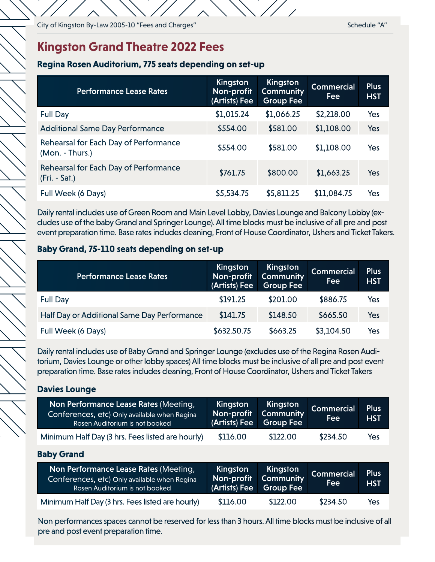## **Kingston Grand Theatre 2022 Fees**

#### **Regina Rosen Auditorium, 775 seats depending on set-up**

| <b>Performance Lease Rates</b>                           | Kingston<br>Non-profit<br>(Artists) Fee | Kingston<br><b>Community</b><br>Group Fee | <b>Commercial</b><br>Fee | <b>Plus</b><br><b>HST</b> |
|----------------------------------------------------------|-----------------------------------------|-------------------------------------------|--------------------------|---------------------------|
| <b>Full Day</b>                                          | \$1,015.24                              | \$1,066.25                                | \$2,218.00               | Yes                       |
| <b>Additional Same Day Performance</b>                   | \$554.00                                | \$581.00                                  | \$1,108.00               | Yes                       |
| Rehearsal for Each Day of Performance<br>(Mon. - Thurs.) | \$554.00                                | \$581.00                                  | \$1,108.00               | Yes                       |
| Rehearsal for Each Day of Performance<br>$(Fri. - Sat.)$ | \$761.75                                | \$800.00                                  | \$1,663.25               | Yes                       |
| Full Week (6 Days)                                       | \$5,534.75                              | \$5,811.25                                | \$11,084.75              | Yes                       |

Daily rental includes use of Green Room and Main Level Lobby, Davies Lounge and Balcony Lobby (excludes use of the baby Grand and Springer Lounge). All time blocks must be inclusive of all pre and post event preparation time. Base rates includes cleaning, Front of House Coordinator, Ushers and Ticket Takers.

### **Baby Grand, 75-110 seats depending on set-up**

| <b>Performance Lease Rates</b>              | Kingston<br>Non-profit<br>(Artists) Fee | Kingston<br>Community<br><b>Group Fee</b> | <b>Commercial</b><br><b>Fee</b> | <b>Plus</b><br><b>HST</b> |
|---------------------------------------------|-----------------------------------------|-------------------------------------------|---------------------------------|---------------------------|
| <b>Full Day</b>                             | \$191.25                                | \$201.00                                  | \$886.75                        | Yes                       |
| Half Day or Additional Same Day Performance | \$141.75                                | \$148.50                                  | \$665.50                        | Yes                       |
| Full Week (6 Days)                          | \$632.50.75                             | \$663.25                                  | \$3,104.50                      | Yes                       |

Daily rental includes use of Baby Grand and Springer Lounge (excludes use of the Regina Rosen Auditorium, Davies Lounge or other lobby spaces) All time blocks must be inclusive of all pre and post event preparation time. Base rates includes cleaning, Front of House Coordinator, Ushers and Ticket Takers

### **Davies Lounge**

| Non Performance Lease Rates (Meeting,<br>Conferences, etc) Only available when Regina<br>Rosen Auditorium is not booked | Kingston<br>Non-profit<br>(Artists) Fee | Kingston<br><b>Community</b><br><b>Group Fee</b> | <b>Commercial</b><br>Fee | <b>Plus</b><br><b>HST</b> |
|-------------------------------------------------------------------------------------------------------------------------|-----------------------------------------|--------------------------------------------------|--------------------------|---------------------------|
| Minimum Half Day (3 hrs. Fees listed are hourly)                                                                        | \$116.00                                | \$122.00                                         | \$234.50                 | Yes                       |

### **Baby Grand**

| Non Performance Lease Rates (Meeting,<br>Conferences, etc) Only available when Regina<br>Rosen Auditorium is not booked | Kingston<br>Non-profit<br>(Artists) Fee | Kingston<br>Community<br><b>Group Fee</b> | <b>Commercial</b><br><b>Fee</b> | Plus <sup>1</sup><br><b>HST</b> |
|-------------------------------------------------------------------------------------------------------------------------|-----------------------------------------|-------------------------------------------|---------------------------------|---------------------------------|
| Minimum Half Day (3 hrs. Fees listed are hourly)                                                                        | \$116.00                                | \$122.00                                  | \$234.50                        | Yes                             |

Non performances spaces cannot be reserved for less than 3 hours. All time blocks must be inclusive of all pre and post event preparation time.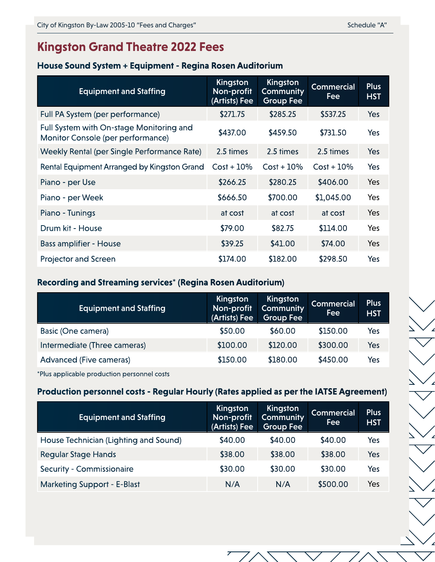# **Kingston Grand Theatre 2022 Fees**

#### **House Sound System + Equipment - Regina Rosen Auditorium**

| <b>Equipment and Staffing</b>                                                 | Kingston<br>Non-profit<br>(Artists) Fee | Kingston<br><b>Community</b><br><b>Group Fee</b> | <b>Commercial</b><br>Fee | <b>Plus</b><br><b>HST</b> |
|-------------------------------------------------------------------------------|-----------------------------------------|--------------------------------------------------|--------------------------|---------------------------|
| Full PA System (per performance)                                              | \$271.75                                | \$285.25                                         | \$537.25                 | Yes                       |
| Full System with On-stage Monitoring and<br>Monitor Console (per performance) | \$437.00                                | \$459.50                                         | \$731.50                 | Yes                       |
| Weekly Rental (per Single Performance Rate)                                   | 2.5 times                               | 2.5 times                                        | 2.5 times                | Yes                       |
| Rental Equipment Arranged by Kingston Grand                                   | $Cost + 10\%$                           | $Cost + 10\%$                                    | $Cost + 10\%$            | Yes                       |
| Piano - per Use                                                               | \$266.25                                | \$280.25                                         | \$406.00                 | Yes                       |
| Piano - per Week                                                              | \$666.50                                | \$700.00                                         | \$1,045.00               | Yes                       |
| Piano - Tunings                                                               | at cost                                 | at cost                                          | at cost                  | Yes                       |
| Drum kit - House                                                              | \$79.00                                 | \$82.75                                          | \$114.00                 | Yes                       |
| <b>Bass amplifier - House</b>                                                 | \$39.25                                 | \$41.00                                          | \$74.00                  | Yes                       |
| <b>Projector and Screen</b>                                                   | \$174.00                                | \$182.00                                         | \$298.50                 | Yes                       |

### **Recording and Streaming services\* (Regina Rosen Auditorium)**

| <b>Equipment and Staffing</b> | Kingston<br>Non-profit<br>(Artists) Fee | Kingston<br><b>Community</b><br>Group Fee | <b>Commercial</b><br>Fee | <b>Plus</b><br><b>HST</b> |
|-------------------------------|-----------------------------------------|-------------------------------------------|--------------------------|---------------------------|
| Basic (One camera)            | \$50.00                                 | \$60.00                                   | \$150.00                 | Yes                       |
| Intermediate (Three cameras)  | \$100.00                                | \$120.00                                  | \$300.00                 | Yes                       |
| Advanced (Five cameras)       | \$150.00                                | \$180.00                                  | \$450.00                 | Yes                       |

\*Plus applicable production personnel costs

### **Production personnel costs - Regular Hourly (Rates applied as per the IATSE Agreement)**

| <b>Equipment and Staffing</b>         | Kingston<br>Non-profit<br>(Artists) Fee | Kingston<br><b>Community</b><br><b>Group Fee</b> | <b>Commercial</b><br>Fee | <b>Plus</b><br><b>HST</b> |
|---------------------------------------|-----------------------------------------|--------------------------------------------------|--------------------------|---------------------------|
| House Technician (Lighting and Sound) | \$40.00                                 | \$40.00                                          | \$40.00                  | Yes                       |
| <b>Regular Stage Hands</b>            | \$38.00                                 | \$38.00                                          | \$38.00                  | Yes                       |
| Security - Commissionaire             | \$30.00                                 | \$30.00                                          | \$30.00                  | Yes                       |
| <b>Marketing Support - E-Blast</b>    | N/A                                     | N/A                                              | \$500.00                 | Yes                       |